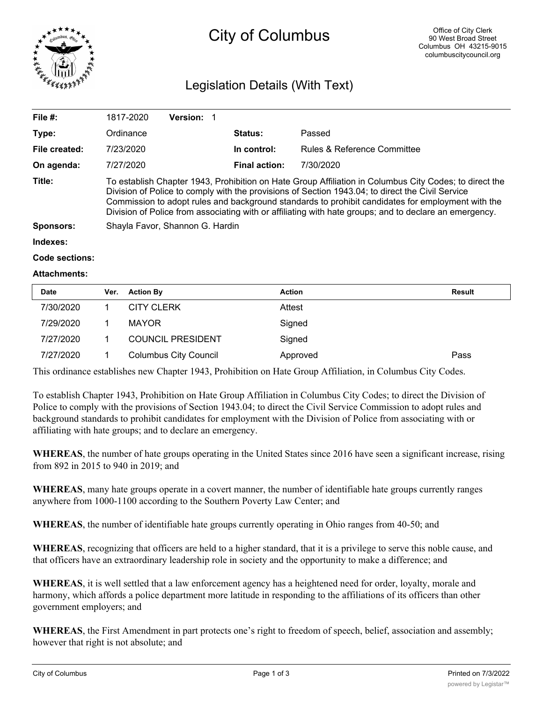

# City of Columbus

## Legislation Details (With Text)

| File $#$ :          | 1817-2020                                                                                                                                                                                                                                                                                                                                                                                                                 | <b>Version:</b> |                      |                                        |  |  |
|---------------------|---------------------------------------------------------------------------------------------------------------------------------------------------------------------------------------------------------------------------------------------------------------------------------------------------------------------------------------------------------------------------------------------------------------------------|-----------------|----------------------|----------------------------------------|--|--|
| Type:               | Ordinance                                                                                                                                                                                                                                                                                                                                                                                                                 |                 | <b>Status:</b>       | Passed                                 |  |  |
| File created:       | 7/23/2020                                                                                                                                                                                                                                                                                                                                                                                                                 |                 | In control:          | <b>Rules &amp; Reference Committee</b> |  |  |
| On agenda:          | 7/27/2020                                                                                                                                                                                                                                                                                                                                                                                                                 |                 | <b>Final action:</b> | 7/30/2020                              |  |  |
| Title:              | To establish Chapter 1943, Prohibition on Hate Group Affiliation in Columbus City Codes; to direct the<br>Division of Police to comply with the provisions of Section 1943.04; to direct the Civil Service<br>Commission to adopt rules and background standards to prohibit candidates for employment with the<br>Division of Police from associating with or affiliating with hate groups; and to declare an emergency. |                 |                      |                                        |  |  |
| <b>Sponsors:</b>    | Shayla Favor, Shannon G. Hardin                                                                                                                                                                                                                                                                                                                                                                                           |                 |                      |                                        |  |  |
| Indexes:            |                                                                                                                                                                                                                                                                                                                                                                                                                           |                 |                      |                                        |  |  |
| Code sections:      |                                                                                                                                                                                                                                                                                                                                                                                                                           |                 |                      |                                        |  |  |
| <b>Attachments:</b> |                                                                                                                                                                                                                                                                                                                                                                                                                           |                 |                      |                                        |  |  |

| Date      | Ver. | <b>Action By</b>             | <b>Action</b> | Result |
|-----------|------|------------------------------|---------------|--------|
| 7/30/2020 |      | <b>CITY CLERK</b>            | Attest        |        |
| 7/29/2020 |      | <b>MAYOR</b>                 | Signed        |        |
| 7/27/2020 |      | <b>COUNCIL PRESIDENT</b>     | Signed        |        |
| 7/27/2020 |      | <b>Columbus City Council</b> | Approved      | Pass   |

This ordinance establishes new Chapter 1943, Prohibition on Hate Group Affiliation, in Columbus City Codes.

To establish Chapter 1943, Prohibition on Hate Group Affiliation in Columbus City Codes; to direct the Division of Police to comply with the provisions of Section 1943.04; to direct the Civil Service Commission to adopt rules and background standards to prohibit candidates for employment with the Division of Police from associating with or affiliating with hate groups; and to declare an emergency.

**WHEREAS**, the number of hate groups operating in the United States since 2016 have seen a significant increase, rising from 892 in 2015 to 940 in 2019; and

**WHEREAS**, many hate groups operate in a covert manner, the number of identifiable hate groups currently ranges anywhere from 1000-1100 according to the Southern Poverty Law Center; and

**WHEREAS**, the number of identifiable hate groups currently operating in Ohio ranges from 40-50; and

**WHEREAS**, recognizing that officers are held to a higher standard, that it is a privilege to serve this noble cause, and that officers have an extraordinary leadership role in society and the opportunity to make a difference; and

**WHEREAS**, it is well settled that a law enforcement agency has a heightened need for order, loyalty, morale and harmony, which affords a police department more latitude in responding to the affiliations of its officers than other government employers; and

**WHEREAS**, the First Amendment in part protects one's right to freedom of speech, belief, association and assembly; however that right is not absolute; and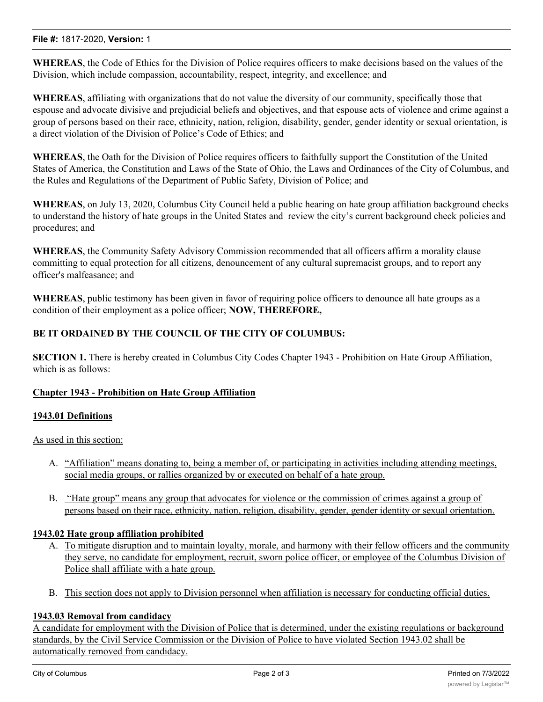#### **File #:** 1817-2020, **Version:** 1

**WHEREAS**, the Code of Ethics for the Division of Police requires officers to make decisions based on the values of the Division, which include compassion, accountability, respect, integrity, and excellence; and

**WHEREAS**, affiliating with organizations that do not value the diversity of our community, specifically those that espouse and advocate divisive and prejudicial beliefs and objectives, and that espouse acts of violence and crime against a group of persons based on their race, ethnicity, nation, religion, disability, gender, gender identity or sexual orientation, is a direct violation of the Division of Police's Code of Ethics; and

**WHEREAS**, the Oath for the Division of Police requires officers to faithfully support the Constitution of the United States of America, the Constitution and Laws of the State of Ohio, the Laws and Ordinances of the City of Columbus, and the Rules and Regulations of the Department of Public Safety, Division of Police; and

**WHEREAS**, on July 13, 2020, Columbus City Council held a public hearing on hate group affiliation background checks to understand the history of hate groups in the United States and review the city's current background check policies and procedures; and

**WHEREAS**, the Community Safety Advisory Commission recommended that all officers affirm a morality clause committing to equal protection for all citizens, denouncement of any cultural supremacist groups, and to report any officer's malfeasance; and

**WHEREAS**, public testimony has been given in favor of requiring police officers to denounce all hate groups as a condition of their employment as a police officer; **NOW, THEREFORE,**

### **BE IT ORDAINED BY THE COUNCIL OF THE CITY OF COLUMBUS:**

**SECTION 1.** There is hereby created in Columbus City Codes Chapter 1943 - Prohibition on Hate Group Affiliation, which is as follows:

#### **Chapter 1943 - Prohibition on Hate Group Affiliation**

#### **1943.01 Definitions**

As used in this section:

- A. "Affiliation" means donating to, being a member of, or participating in activities including attending meetings, social media groups, or rallies organized by or executed on behalf of a hate group.
- B. "Hate group" means any group that advocates for violence or the commission of crimes against a group of persons based on their race, ethnicity, nation, religion, disability, gender, gender identity or sexual orientation.

#### **1943.02 Hate group affiliation prohibited**

- A. To mitigate disruption and to maintain loyalty, morale, and harmony with their fellow officers and the community they serve, no candidate for employment, recruit, sworn police officer, or employee of the Columbus Division of Police shall affiliate with a hate group.
- B. This section does not apply to Division personnel when affiliation is necessary for conducting official duties.

#### **1943.03 Removal from candidacy**

A candidate for employment with the Division of Police that is determined, under the existing regulations or background standards, by the Civil Service Commission or the Division of Police to have violated Section 1943.02 shall be automatically removed from candidacy.